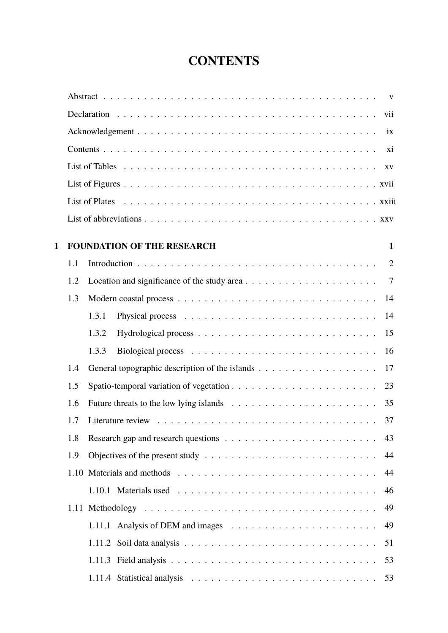## **CONTENTS**

<span id="page-0-0"></span>

|   |     | vii                                                                                                       |
|---|-----|-----------------------------------------------------------------------------------------------------------|
|   |     | ix                                                                                                        |
|   |     | xi                                                                                                        |
|   |     |                                                                                                           |
|   |     |                                                                                                           |
|   |     |                                                                                                           |
|   |     |                                                                                                           |
| 1 |     | <b>FOUNDATION OF THE RESEARCH</b><br>$\mathbf{1}$                                                         |
|   | 1.1 | $\overline{2}$                                                                                            |
|   | 1.2 | Location and significance of the study area $\dots \dots \dots \dots \dots \dots \dots$<br>$\overline{7}$ |
|   | 1.3 | 14                                                                                                        |
|   |     | 1.3.1<br>14                                                                                               |
|   |     | 15<br>1.3.2                                                                                               |
|   |     | 1.3.3<br>16                                                                                               |
|   | 1.4 | 17                                                                                                        |
|   | 1.5 | 23                                                                                                        |
|   | 1.6 | 35                                                                                                        |
|   | 1.7 | 37                                                                                                        |
|   |     | 43                                                                                                        |
|   | 1.8 | Research gap and research questions $\dots \dots \dots \dots \dots \dots \dots \dots \dots$               |
|   | 1.9 | Objectives of the present study $\dots \dots \dots \dots \dots \dots \dots \dots \dots \dots$<br>44       |
|   |     | 44                                                                                                        |
|   |     | 1.10.1 Materials used $\ldots \ldots \ldots \ldots \ldots \ldots \ldots \ldots \ldots \ldots$<br>46       |
|   |     | 49                                                                                                        |
|   |     | 49                                                                                                        |
|   |     | 51                                                                                                        |
|   |     | 53                                                                                                        |
|   |     | 53                                                                                                        |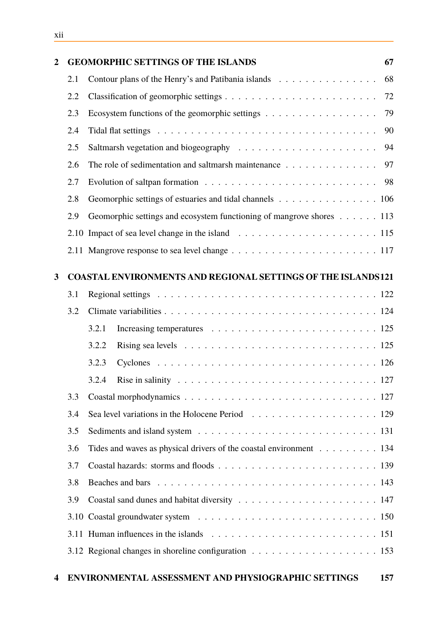| $\overline{2}$ |     | <b>GEOMORPHIC SETTINGS OF THE ISLANDS</b>                                                                     | 67 |
|----------------|-----|---------------------------------------------------------------------------------------------------------------|----|
|                | 2.1 | Contour plans of the Henry's and Patibania islands                                                            | 68 |
|                | 2.2 |                                                                                                               | 72 |
|                | 2.3 | Ecosystem functions of the geomorphic settings $\dots \dots \dots \dots \dots \dots$                          | 79 |
|                | 2.4 |                                                                                                               | 90 |
|                | 2.5 | Saltmarsh vegetation and biogeography $\ldots \ldots \ldots \ldots \ldots \ldots \ldots$                      | 94 |
|                | 2.6 | The role of sedimentation and saltmarsh maintenance                                                           | 97 |
|                | 2.7 |                                                                                                               |    |
|                | 2.8 | Geomorphic settings of estuaries and tidal channels 106                                                       |    |
|                | 2.9 | Geomorphic settings and ecosystem functioning of mangrove shores 113                                          |    |
|                |     |                                                                                                               |    |
|                |     |                                                                                                               |    |
| 3              |     | <b>COASTAL ENVIRONMENTS AND REGIONAL SETTINGS OF THE ISLANDS121</b>                                           |    |
|                | 3.1 |                                                                                                               |    |
|                | 3.2 |                                                                                                               |    |
|                |     | 3.2.1                                                                                                         |    |
|                |     | 3.2.2<br>Rising sea levels $\ldots \ldots \ldots \ldots \ldots \ldots \ldots \ldots \ldots \ldots \ldots 125$ |    |
|                |     | 3.2.3                                                                                                         |    |
|                |     | 3.2.4<br>Rise in salinity $\ldots \ldots \ldots \ldots \ldots \ldots \ldots \ldots \ldots \ldots \ldots 127$  |    |
|                | 3.3 |                                                                                                               |    |
|                | 3.4 |                                                                                                               |    |
|                | 3.5 |                                                                                                               |    |
|                | 3.6 | Tides and waves as physical drivers of the coastal environment 134                                            |    |
|                | 3.7 |                                                                                                               |    |
|                | 3.8 |                                                                                                               |    |
|                | 3.9 |                                                                                                               |    |
|                |     |                                                                                                               |    |
|                |     |                                                                                                               |    |
|                |     |                                                                                                               |    |
|                |     |                                                                                                               |    |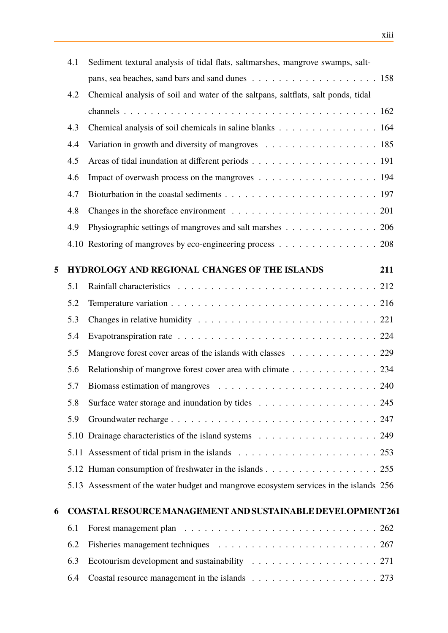|   | 4.1 | Sediment textural analysis of tidal flats, saltmarshes, mangrove swamps, salt-                     |
|---|-----|----------------------------------------------------------------------------------------------------|
|   |     |                                                                                                    |
|   | 4.2 | Chemical analysis of soil and water of the saltpans, saltflats, salt ponds, tidal                  |
|   |     |                                                                                                    |
|   | 4.3 | Chemical analysis of soil chemicals in saline blanks 164                                           |
|   | 4.4 |                                                                                                    |
|   | 4.5 |                                                                                                    |
|   | 4.6 | Impact of overwash process on the mangroves 194                                                    |
|   | 4.7 |                                                                                                    |
|   | 4.8 | Changes in the shoreface environment $\ldots \ldots \ldots \ldots \ldots \ldots \ldots \ldots 201$ |
|   | 4.9 | Physiographic settings of mangroves and salt marshes 206                                           |
|   |     | 4.10 Restoring of mangroves by eco-engineering process 208                                         |
|   |     |                                                                                                    |
| 5 |     | HYDROLOGY AND REGIONAL CHANGES OF THE ISLANDS<br>211                                               |
|   | 5.1 |                                                                                                    |
|   | 5.2 |                                                                                                    |
|   | 5.3 |                                                                                                    |
|   | 5.4 |                                                                                                    |
|   | 5.5 | Mangrove forest cover areas of the islands with classes 229                                        |
|   | 5.6 | Relationship of mangrove forest cover area with climate 234                                        |
|   | 5.7 |                                                                                                    |
|   | 5.8 |                                                                                                    |
|   | 5.9 |                                                                                                    |
|   |     | 5.10 Drainage characteristics of the island systems 249                                            |
|   |     |                                                                                                    |
|   |     | 5.12 Human consumption of freshwater in the islands 255                                            |
|   |     | 5.13 Assessment of the water budget and mangrove ecosystem services in the islands 256             |
|   |     |                                                                                                    |
| 6 |     | <b>COASTAL RESOURCE MANAGEMENT AND SUSTAINABLE DEVELOPMENT261</b>                                  |
|   | 6.1 |                                                                                                    |
|   | 6.2 |                                                                                                    |
|   | 6.3 |                                                                                                    |
|   | 6.4 |                                                                                                    |